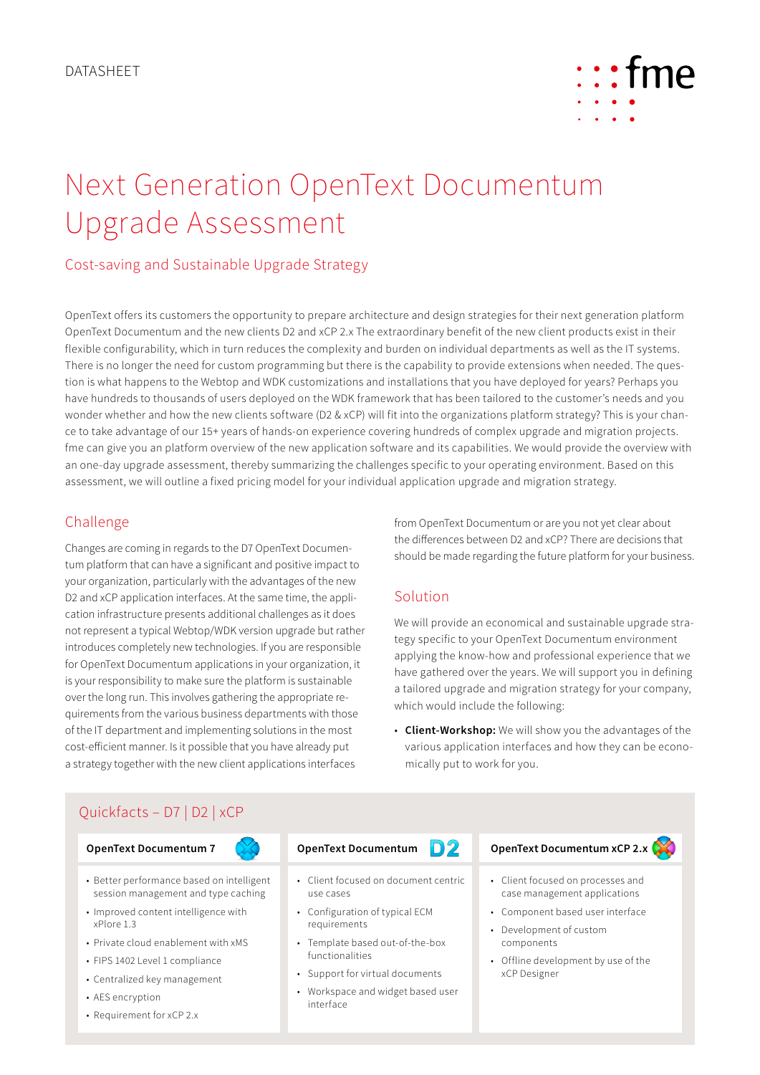

# Next Generation OpenText Documentum Upgrade Assessment

# Cost-saving and Sustainable Upgrade Strategy

OpenText offers its customers the opportunity to prepare architecture and design strategies for their next generation platform OpenText Documentum and the new clients D2 and xCP 2.x The extraordinary benefit of the new client products exist in their flexible configurability, which in turn reduces the complexity and burden on individual departments as well as the IT systems. There is no longer the need for custom programming but there is the capability to provide extensions when needed. The question is what happens to the Webtop and WDK customizations and installations that you have deployed for years? Perhaps you have hundreds to thousands of users deployed on the WDK framework that has been tailored to the customer's needs and you wonder whether and how the new clients software (D2 & xCP) will fit into the organizations platform strategy? This is your chance to take advantage of our 15+ years of hands-on experience covering hundreds of complex upgrade and migration projects. fme can give you an platform overview of the new application software and its capabilities. We would provide the overview with an one-day upgrade assessment, thereby summarizing the challenges specific to your operating environment. Based on this assessment, we will outline a fixed pricing model for your individual application upgrade and migration strategy.

### Challenge

Changes are coming in regards to the D7 OpenText Documentum platform that can have a significant and positive impact to your organization, particularly with the advantages of the new D2 and xCP application interfaces. At the same time, the application infrastructure presents additional challenges as it does not represent a typical Webtop/WDK version upgrade but rather introduces completely new technologies. If you are responsible for OpenText Documentum applications in your organization, it is your responsibility to make sure the platform is sustainable over the long run. This involves gathering the appropriate requirements from the various business departments with those of the IT department and implementing solutions in the most cost-efficient manner. Is it possible that you have already put a strategy together with the new client applications interfaces

from OpenText Documentum or are you not yet clear about the differences between D2 and xCP? There are decisions that should be made regarding the future platform for your business.

## Solution

We will provide an economical and sustainable upgrade strategy specific to your OpenText Documentum environment applying the know-how and professional experience that we have gathered over the years. We will support you in defining a tailored upgrade and migration strategy for your company, which would include the following:

• **Client-Workshop:** We will show you the advantages of the various application interfaces and how they can be economically put to work for you.

# Quickfacts – D7 | D2 | xCP

### **OpenText Documentum 7**

- Better performance based on intelligent session management and type caching
- Improved content intelligence with xPlore 1.3
- Private cloud enablement with xMS
- FIPS 1402 Level 1 compliance
- Centralized key management
- AES encryption
- Requirement for xCP 2.x

- Client focused on document centric use cases
- Configuration of typical ECM requirements
- Template based out-of-the-box functionalities
- Support for virtual documents
- Workspace and widget based user interface

# **OpenText Documentum D** 2 **OpenText Documentum xCP 2.x**

- Client focused on processes and case management applications
- Component based user interface
- Development of custom components
- Offline development by use of the xCP Designer